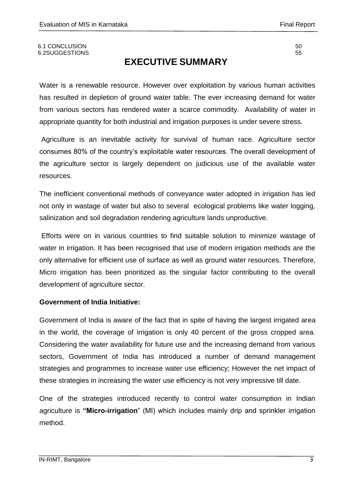#### 6.1 CONCLUSION 50 6.2SUGGESTIONS 55

# **EXECUTIVE SUMMARY**

Water is a renewable resource. However over exploitation by various human activities has resulted in depletion of ground water table. The ever increasing demand for water from various sectors has rendered water a scarce commodity. Availability of water in appropriate quantity for both industrial and irrigation purposes is under severe stress.

Agriculture is an inevitable activity for survival of human race. Agriculture sector consumes 80% of the country"s exploitable water resources. The overall development of the agriculture sector is largely dependent on judicious use of the available water resources.

The inefficient conventional methods of conveyance water adopted in irrigation has led not only in wastage of water but also to several ecological problems like water logging, salinization and soil degradation rendering agriculture lands unproductive.

Efforts were on in various countries to find suitable solution to minimize wastage of water in irrigation. It has been recognised that use of modern irrigation methods are the only alternative for efficient use of surface as well as ground water resources. Therefore, Micro irrigation has been prioritized as the singular factor contributing to the overall development of agriculture sector.

### **Government of India Initiative:**

Government of India is aware of the fact that in spite of having the largest irrigated area in the world, the coverage of irrigation is only 40 percent of the gross cropped area. Considering the water availability for future use and the increasing demand from various sectors, Government of India has introduced a number of demand management strategies and programmes to increase water use efficiency; However the net impact of these strategies in increasing the water use efficiency is not very impressive till date.

One of the strategies introduced recently to control water consumption in Indian agriculture is **"Micro-irrigation**" (MI) which includes mainly drip and sprinkler irrigation method.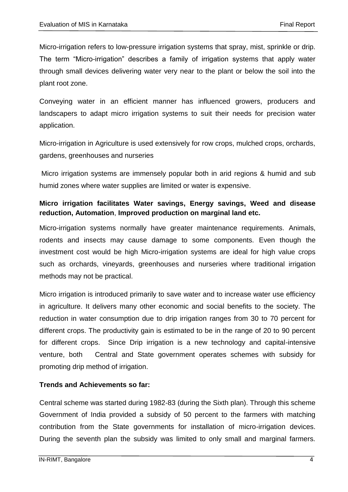Micro-irrigation refers to low-pressure irrigation systems that spray, mist, sprinkle or drip. The term "Micro-irrigation" describes a family of irrigation systems that apply water through small devices delivering water very near to the plant or below the soil into the plant root zone.

Conveying water in an efficient manner has influenced growers, producers and landscapers to adapt micro irrigation systems to suit their needs for precision water application.

Micro-irrigation in Agriculture is used extensively for row crops, mulched crops, orchards, gardens, greenhouses and nurseries

Micro irrigation systems are immensely popular both in arid regions & humid and sub humid zones where water supplies are limited or water is expensive.

# **Micro irrigation facilitates Water savings, Energy savings, Weed and disease reduction, Automation**, **Improved production on marginal land etc.**

Micro-irrigation systems normally have greater maintenance requirements. Animals, rodents and insects may cause damage to some components. Even though the investment cost would be high Micro-irrigation systems are ideal for high value crops such as orchards, vineyards, greenhouses and nurseries where traditional irrigation methods may not be practical.

Micro irrigation is introduced primarily to save water and to increase water use efficiency in agriculture. It delivers many other economic and social benefits to the society. The reduction in water consumption due to drip irrigation ranges from 30 to 70 percent for different crops. The productivity gain is estimated to be in the range of 20 to 90 percent for different crops. Since Drip irrigation is a new technology and capital-intensive venture, both Central and State government operates schemes with subsidy for promoting drip method of irrigation.

### **Trends and Achievements so far:**

Central scheme was started during 1982-83 (during the Sixth plan). Through this scheme Government of India provided a subsidy of 50 percent to the farmers with matching contribution from the State governments for installation of micro-irrigation devices. During the seventh plan the subsidy was limited to only small and marginal farmers.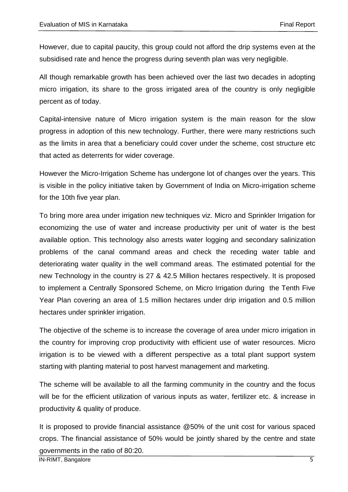However, due to capital paucity, this group could not afford the drip systems even at the subsidised rate and hence the progress during seventh plan was very negligible.

All though remarkable growth has been achieved over the last two decades in adopting micro irrigation, its share to the gross irrigated area of the country is only negligible percent as of today.

Capital-intensive nature of Micro irrigation system is the main reason for the slow progress in adoption of this new technology. Further, there were many restrictions such as the limits in area that a beneficiary could cover under the scheme, cost structure etc that acted as deterrents for wider coverage.

However the Micro-Irrigation Scheme has undergone lot of changes over the years. This is visible in the policy initiative taken by Government of India on Micro-irrigation scheme for the 10th five year plan.

To bring more area under irrigation new techniques viz. Micro and Sprinkler Irrigation for economizing the use of water and increase productivity per unit of water is the best available option. This technology also arrests water logging and secondary salinization problems of the canal command areas and check the receding water table and deteriorating water quality in the well command areas. The estimated potential for the new Technology in the country is 27 & 42.5 Million hectares respectively. It is proposed to implement a Centrally Sponsored Scheme, on Micro Irrigation during the Tenth Five Year Plan covering an area of 1.5 million hectares under drip irrigation and 0.5 million hectares under sprinkler irrigation.

The objective of the scheme is to increase the coverage of area under micro irrigation in the country for improving crop productivity with efficient use of water resources. Micro irrigation is to be viewed with a different perspective as a total plant support system starting with planting material to post harvest management and marketing.

The scheme will be available to all the farming community in the country and the focus will be for the efficient utilization of various inputs as water, fertilizer etc. & increase in productivity & quality of produce.

It is proposed to provide financial assistance @50% of the unit cost for various spaced crops. The financial assistance of 50% would be jointly shared by the centre and state governments in the ratio of 80:20.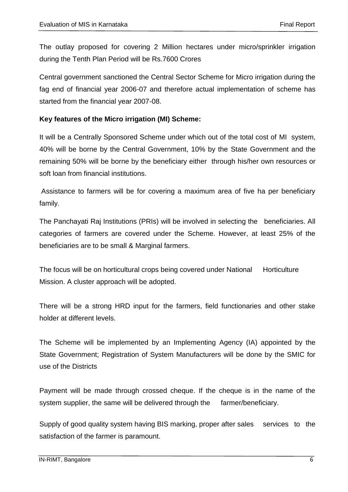The outlay proposed for covering 2 Million hectares under micro/sprinkler irrigation during the Tenth Plan Period will be Rs.7600 Crores

Central government sanctioned the Central Sector Scheme for Micro irrigation during the fag end of financial year 2006-07 and therefore actual implementation of scheme has started from the financial year 2007-08.

### **Key features of the Micro irrigation (MI) Scheme:**

It will be a Centrally Sponsored Scheme under which out of the total cost of MI system, 40% will be borne by the Central Government, 10% by the State Government and the remaining 50% will be borne by the beneficiary either through his/her own resources or soft loan from financial institutions.

Assistance to farmers will be for covering a maximum area of five ha per beneficiary family.

The Panchayati Raj Institutions (PRIs) will be involved in selecting the beneficiaries. All categories of farmers are covered under the Scheme. However, at least 25% of the beneficiaries are to be small & Marginal farmers.

The focus will be on horticultural crops being covered under National Horticulture Mission. A cluster approach will be adopted.

There will be a strong HRD input for the farmers, field functionaries and other stake holder at different levels.

The Scheme will be implemented by an Implementing Agency (IA) appointed by the State Government; Registration of System Manufacturers will be done by the SMIC for use of the Districts

Payment will be made through crossed cheque. If the cheque is in the name of the system supplier, the same will be delivered through the farmer/beneficiary.

Supply of good quality system having BIS marking, proper after sales services to the satisfaction of the farmer is paramount.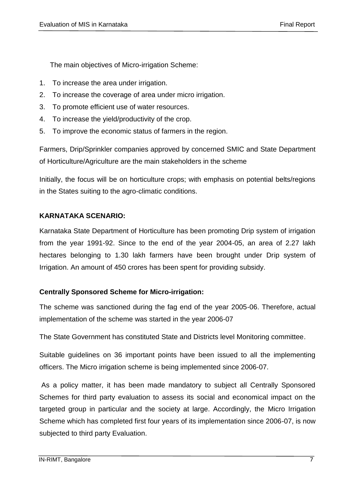The main objectives of Micro-irrigation Scheme:

- 1. To increase the area under irrigation.
- 2. To increase the coverage of area under micro irrigation.
- 3. To promote efficient use of water resources.
- 4. To increase the yield/productivity of the crop.
- 5. To improve the economic status of farmers in the region.

Farmers, Drip/Sprinkler companies approved by concerned SMIC and State Department of Horticulture/Agriculture are the main stakeholders in the scheme

Initially, the focus will be on horticulture crops; with emphasis on potential belts/regions in the States suiting to the agro-climatic conditions.

# **KARNATAKA SCENARIO:**

Karnataka State Department of Horticulture has been promoting Drip system of irrigation from the year 1991-92. Since to the end of the year 2004-05, an area of 2.27 lakh hectares belonging to 1.30 lakh farmers have been brought under Drip system of Irrigation. An amount of 450 crores has been spent for providing subsidy.

### **Centrally Sponsored Scheme for Micro-irrigation:**

The scheme was sanctioned during the fag end of the year 2005-06. Therefore, actual implementation of the scheme was started in the year 2006-07

The State Government has constituted State and Districts level Monitoring committee.

Suitable guidelines on 36 important points have been issued to all the implementing officers. The Micro irrigation scheme is being implemented since 2006-07.

As a policy matter, it has been made mandatory to subject all Centrally Sponsored Schemes for third party evaluation to assess its social and economical impact on the targeted group in particular and the society at large. Accordingly, the Micro Irrigation Scheme which has completed first four years of its implementation since 2006-07, is now subjected to third party Evaluation.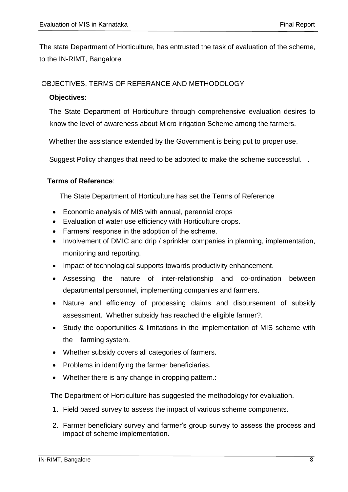The state Department of Horticulture, has entrusted the task of evaluation of the scheme, to the IN-RIMT, Bangalore

# OBJECTIVES, TERMS OF REFERANCE AND METHODOLOGY

### **Objectives:**

The State Department of Horticulture through comprehensive evaluation desires to know the level of awareness about Micro irrigation Scheme among the farmers.

Whether the assistance extended by the Government is being put to proper use.

Suggest Policy changes that need to be adopted to make the scheme successful. .

### **Terms of Reference**:

The State Department of Horticulture has set the Terms of Reference

- Economic analysis of MIS with annual, perennial crops
- Evaluation of water use efficiency with Horticulture crops.
- Farmers' response in the adoption of the scheme.
- Involvement of DMIC and drip / sprinkler companies in planning, implementation, monitoring and reporting.
- Impact of technological supports towards productivity enhancement.
- Assessing the nature of inter-relationship and co-ordination between departmental personnel, implementing companies and farmers.
- Nature and efficiency of processing claims and disbursement of subsidy assessment. Whether subsidy has reached the eligible farmer?.
- Study the opportunities & limitations in the implementation of MIS scheme with the farming system.
- Whether subsidy covers all categories of farmers.
- Problems in identifying the farmer beneficiaries.
- Whether there is any change in cropping pattern.:

The Department of Horticulture has suggested the methodology for evaluation.

- 1. Field based survey to assess the impact of various scheme components.
- 2. Farmer beneficiary survey and farmer"s group survey to assess the process and impact of scheme implementation.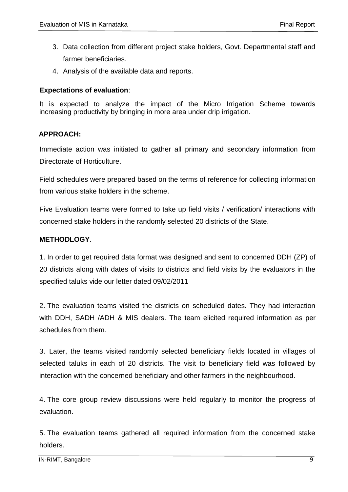- 3. Data collection from different project stake holders, Govt. Departmental staff and farmer beneficiaries.
- 4. Analysis of the available data and reports.

#### **Expectations of evaluation**:

It is expected to analyze the impact of the Micro Irrigation Scheme towards increasing productivity by bringing in more area under drip irrigation.

#### **APPROACH:**

Immediate action was initiated to gather all primary and secondary information from Directorate of Horticulture.

 Field schedules were prepared based on the terms of reference for collecting information from various stake holders in the scheme.

Five Evaluation teams were formed to take up field visits / verification/ interactions with concerned stake holders in the randomly selected 20 districts of the State.

### **METHODLOGY**.

1. In order to get required data format was designed and sent to concerned DDH (ZP) of 20 districts along with dates of visits to districts and field visits by the evaluators in the specified taluks vide our letter dated 09/02/2011

2. The evaluation teams visited the districts on scheduled dates. They had interaction with DDH, SADH /ADH & MIS dealers. The team elicited required information as per schedules from them.

3. Later, the teams visited randomly selected beneficiary fields located in villages of selected taluks in each of 20 districts. The visit to beneficiary field was followed by interaction with the concerned beneficiary and other farmers in the neighbourhood.

4. The core group review discussions were held regularly to monitor the progress of evaluation.

5. The evaluation teams gathered all required information from the concerned stake holders.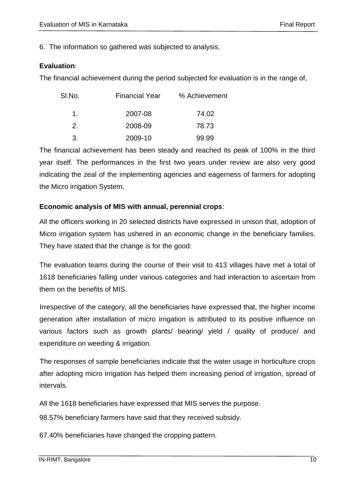6. The information so gathered was subjected to analysis.

# **Evaluation**:

The financial achievement during the period subjected for evaluation is in the range of,

| SI.No. | <b>Financial Year</b> | % Achievement |
|--------|-----------------------|---------------|
| 1.     | 2007-08               | 74.02         |
| 2.     | 2008-09               | 78.73         |
| 3.     | 2009-10               | 99.99         |

The financial achievement has been steady and reached its peak of 100% in the third year itself. The performances in the first two years under review are also very good indicating the zeal of the implementing agencies and eagerness of farmers for adopting the Micro irrigation System.

# **Economic analysis of MIS with annual, perennial crops**:

All the officers working in 20 selected districts have expressed in unison that, adoption of Micro irrigation system has ushered in an economic change in the beneficiary families. They have stated that the change is for the good:

The evaluation teams during the course of their visit to 413 villages have met a total of 1618 beneficiaries falling under various categories and had interaction to ascertain from them on the benefits of MIS.

Irrespective of the category, all the beneficiaries have expressed that, the higher income generation after installation of micro irrigation is attributed to its positive influence on various factors such as growth plants/ bearing/ yield / quality of produce/ and expenditure on weeding & irrigation.

The responses of sample beneficiaries indicate that the water usage in horticulture crops after adopting micro irrigation has helped them increasing period of irrigation, spread of intervals.

All the 1618 beneficiaries have expressed that MIS serves the purpose.

98.57% beneficiary farmers have said that they received subsidy.

67.40% beneficiaries have changed the cropping pattern.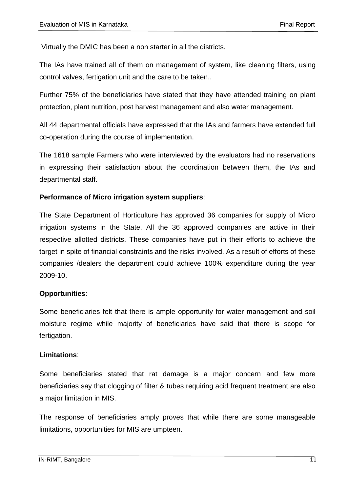Virtually the DMIC has been a non starter in all the districts.

The IAs have trained all of them on management of system, like cleaning filters, using control valves, fertigation unit and the care to be taken..

Further 75% of the beneficiaries have stated that they have attended training on plant protection, plant nutrition, post harvest management and also water management.

All 44 departmental officials have expressed that the IAs and farmers have extended full co-operation during the course of implementation.

 The 1618 sample Farmers who were interviewed by the evaluators had no reservations in expressing their satisfaction about the coordination between them, the IAs and departmental staff.

### **Performance of Micro irrigation system suppliers**:

The State Department of Horticulture has approved 36 companies for supply of Micro irrigation systems in the State. All the 36 approved companies are active in their respective allotted districts. These companies have put in their efforts to achieve the target in spite of financial constraints and the risks involved. As a result of efforts of these companies /dealers the department could achieve 100% expenditure during the year 2009-10.

### **Opportunities**:

Some beneficiaries felt that there is ample opportunity for water management and soil moisture regime while majority of beneficiaries have said that there is scope for fertigation.

### **Limitations**:

Some beneficiaries stated that rat damage is a major concern and few more beneficiaries say that clogging of filter & tubes requiring acid frequent treatment are also a major limitation in MIS.

The response of beneficiaries amply proves that while there are some manageable limitations, opportunities for MIS are umpteen.